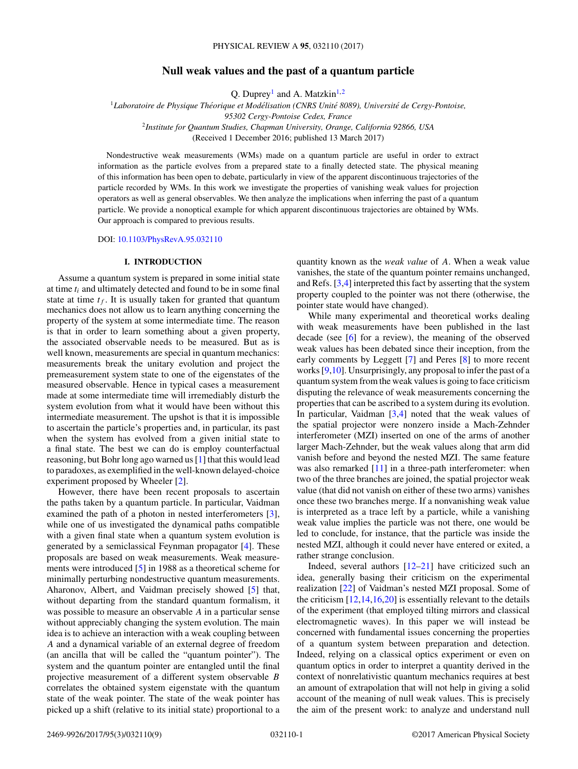# **Null weak values and the past of a quantum particle**

Q. Duprey<sup>1</sup> and A. Matzkin<sup>1,2</sup>

<sup>1</sup>*Laboratoire de Physique Theorique et Mod ´ elisation (CNRS Unit ´ e 8089), Universit ´ e de Cergy-Pontoise, ´*

*95302 Cergy-Pontoise Cedex, France*

<sup>2</sup>*Institute for Quantum Studies, Chapman University, Orange, California 92866, USA*

(Received 1 December 2016; published 13 March 2017)

Nondestructive weak measurements (WMs) made on a quantum particle are useful in order to extract information as the particle evolves from a prepared state to a finally detected state. The physical meaning of this information has been open to debate, particularly in view of the apparent discontinuous trajectories of the particle recorded by WMs. In this work we investigate the properties of vanishing weak values for projection operators as well as general observables. We then analyze the implications when inferring the past of a quantum particle. We provide a nonoptical example for which apparent discontinuous trajectories are obtained by WMs. Our approach is compared to previous results.

DOI: [10.1103/PhysRevA.95.032110](https://doi.org/10.1103/PhysRevA.95.032110)

# **I. INTRODUCTION**

Assume a quantum system is prepared in some initial state at time *ti* and ultimately detected and found to be in some final state at time  $t_f$ . It is usually taken for granted that quantum mechanics does not allow us to learn anything concerning the property of the system at some intermediate time. The reason is that in order to learn something about a given property, the associated observable needs to be measured. But as is well known, measurements are special in quantum mechanics: measurements break the unitary evolution and project the premeasurement system state to one of the eigenstates of the measured observable. Hence in typical cases a measurement made at some intermediate time will irremediably disturb the system evolution from what it would have been without this intermediate measurement. The upshot is that it is impossible to ascertain the particle's properties and, in particular, its past when the system has evolved from a given initial state to a final state. The best we can do is employ counterfactual reasoning, but Bohr long ago warned us [\[1\]](#page-7-0) that this would lead to paradoxes, as exemplified in the well-known delayed-choice experiment proposed by Wheeler [\[2\]](#page-7-0).

However, there have been recent proposals to ascertain the paths taken by a quantum particle. In particular, Vaidman examined the path of a photon in nested interferometers [\[3\]](#page-7-0), while one of us investigated the dynamical paths compatible with a given final state when a quantum system evolution is generated by a semiclassical Feynman propagator [\[4\]](#page-7-0). These proposals are based on weak measurements. Weak measurements were introduced [\[5\]](#page-7-0) in 1988 as a theoretical scheme for minimally perturbing nondestructive quantum measurements. Aharonov, Albert, and Vaidman precisely showed [\[5\]](#page-7-0) that, without departing from the standard quantum formalism, it was possible to measure an observable *A* in a particular sense without appreciably changing the system evolution. The main idea is to achieve an interaction with a weak coupling between *A* and a dynamical variable of an external degree of freedom (an ancilla that will be called the "quantum pointer"). The system and the quantum pointer are entangled until the final projective measurement of a different system observable *B* correlates the obtained system eigenstate with the quantum state of the weak pointer. The state of the weak pointer has picked up a shift (relative to its initial state) proportional to a quantity known as the *weak value* of *A*. When a weak value vanishes, the state of the quantum pointer remains unchanged, and Refs. [\[3,4\]](#page-7-0) interpreted this fact by asserting that the system property coupled to the pointer was not there (otherwise, the pointer state would have changed).

While many experimental and theoretical works dealing with weak measurements have been published in the last decade (see [\[6\]](#page-8-0) for a review), the meaning of the observed weak values has been debated since their inception, from the early comments by Leggett [\[7\]](#page-8-0) and Peres [\[8\]](#page-8-0) to more recent works [\[9,10\]](#page-8-0). Unsurprisingly, any proposal to infer the past of a quantum system from the weak values is going to face criticism disputing the relevance of weak measurements concerning the properties that can be ascribed to a system during its evolution. In particular, Vaidman [\[3,4\]](#page-7-0) noted that the weak values of the spatial projector were nonzero inside a Mach-Zehnder interferometer (MZI) inserted on one of the arms of another larger Mach-Zehnder, but the weak values along that arm did vanish before and beyond the nested MZI. The same feature was also remarked [\[11\]](#page-8-0) in a three-path interferometer: when two of the three branches are joined, the spatial projector weak value (that did not vanish on either of these two arms) vanishes once these two branches merge. If a nonvanishing weak value is interpreted as a trace left by a particle, while a vanishing weak value implies the particle was not there, one would be led to conclude, for instance, that the particle was inside the nested MZI, although it could never have entered or exited, a rather strange conclusion.

Indeed, several authors  $[12-21]$  have criticized such an idea, generally basing their criticism on the experimental realization [\[22\]](#page-8-0) of Vaidman's nested MZI proposal. Some of the criticism  $[12, 14, 16, 20]$  is essentially relevant to the details of the experiment (that employed tilting mirrors and classical electromagnetic waves). In this paper we will instead be concerned with fundamental issues concerning the properties of a quantum system between preparation and detection. Indeed, relying on a classical optics experiment or even on quantum optics in order to interpret a quantity derived in the context of nonrelativistic quantum mechanics requires at best an amount of extrapolation that will not help in giving a solid account of the meaning of null weak values. This is precisely the aim of the present work: to analyze and understand null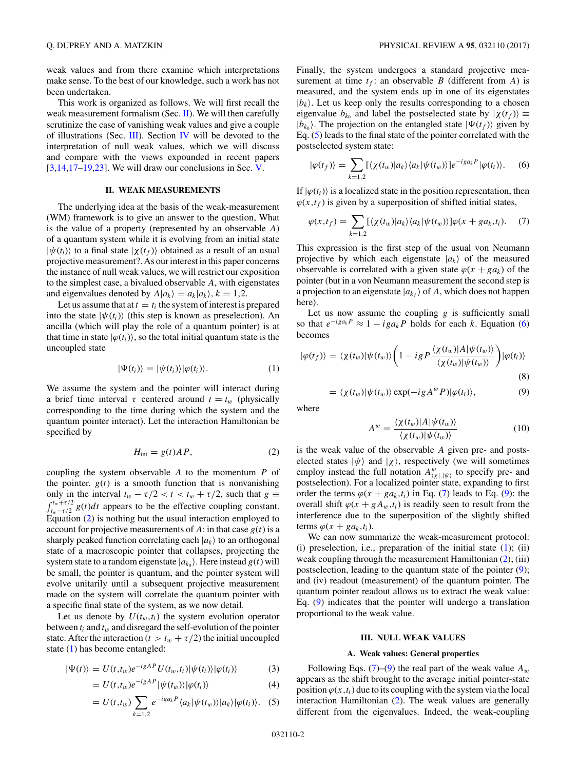<span id="page-1-0"></span>weak values and from there examine which interpretations make sense. To the best of our knowledge, such a work has not been undertaken.

This work is organized as follows. We will first recall the weak measurement formalism (Sec. II). We will then carefully scrutinize the case of vanishing weak values and give a couple of illustrations (Sec. III). Section [IV](#page-4-0) will be devoted to the interpretation of null weak values, which we will discuss and compare with the views expounded in recent papers  $[3,14,17-19,23]$  $[3,14,17-19,23]$ . We will draw our conclusions in Sec. [V.](#page-7-0)

## **II. WEAK MEASUREMENTS**

The underlying idea at the basis of the weak-measurement (WM) framework is to give an answer to the question, What is the value of a property (represented by an observable *A*) of a quantum system while it is evolving from an initial state  $|\psi(t_i)\rangle$  to a final state  $|\chi(t_f)\rangle$  obtained as a result of an usual projective measurement?. As our interest in this paper concerns the instance of null weak values, we will restrict our exposition to the simplest case, a bivalued observable *A*, with eigenstates and eigenvalues denoted by  $A|a_k\rangle = a_k|a_k\rangle, k = 1,2.$ 

Let us assume that at  $t = t_i$  the system of interest is prepared into the state  $|\psi(t_i)\rangle$  (this step is known as preselection). An ancilla (which will play the role of a quantum pointer) is at that time in state  $|\varphi(t_i)\rangle$ , so the total initial quantum state is the uncoupled state

$$
|\Psi(t_i)\rangle = |\psi(t_i)\rangle |\varphi(t_i)\rangle. \tag{1}
$$

We assume the system and the pointer will interact during a brief time interval  $\tau$  centered around  $t = t_w$  (physically corresponding to the time during which the system and the quantum pointer interact). Let the interaction Hamiltonian be specified by

$$
H_{\text{int}} = g(t)AP,\tag{2}
$$

coupling the system observable *A* to the momentum *P* of the pointer.  $g(t)$  is a smooth function that is nonvanishing only in the interval  $t_w - \tau/2 < t < t_w + \tau/2$ , such that  $g \equiv$  $\int_{t_w-\tau/2}^{t_w+\tau/2} g(t)dt$  appears to be the effective coupling constant. Equation (2) is nothing but the usual interaction employed to account for projective measurements of  $A$ : in that case  $g(t)$  is a sharply peaked function correlating each  $|a_k\rangle$  to an orthogonal state of a macroscopic pointer that collapses, projecting the system state to a random eigenstate  $|a_{k_0}\rangle$ . Here instead  $g(t)$  will be small, the pointer is quantum, and the pointer system will evolve unitarily until a subsequent projective measurement made on the system will correlate the quantum pointer with a specific final state of the system, as we now detail.

Let us denote by  $U(t_w,t_i)$  the system evolution operator between *ti* and *tw* and disregard the self-evolution of the pointer state. After the interaction ( $t > t_w + \tau/2$ ) the initial uncoupled state (1) has become entangled:

 $\vert$ 

$$
\Psi(t)\rangle = U(t,t_w)e^{-igAP}U(t_w,t_i)|\psi(t_i)\rangle|\varphi(t_i)\rangle \tag{3}
$$

$$
= U(t,t_w)e^{-igAP}|\psi(t_w)\rangle|\varphi(t_i)\rangle \tag{4}
$$

$$
= U(t,t_w) \sum_{k=1,2} e^{-ig_{ak}P} \langle a_k | \psi(t_w) \rangle | a_k \rangle | \varphi(t_i) \rangle. \tag{5}
$$

Finally, the system undergoes a standard projective measurement at time  $t_f$ : an observable *B* (different from *A*) is measured, and the system ends up in one of its eigenstates  $|b_k\rangle$ . Let us keep only the results corresponding to a chosen eigenvalue  $b_{k_0}$  and label the postselected state by  $|\chi(t_f)\rangle \equiv$  $|b_{k_0}\rangle$ . The projection on the entangled state  $|\Psi(t_f)\rangle$  given by Eq. (5) leads to the final state of the pointer correlated with the postselected system state:

$$
|\varphi(t_f)\rangle = \sum_{k=1,2} [\langle \chi(t_w)|a_k\rangle \langle a_k|\psi(t_w)\rangle] e^{-ig a_k P} |\varphi(t_i)\rangle.
$$
 (6)

If  $|\varphi(t_i)\rangle$  is a localized state in the position representation, then  $\varphi(x,t_f)$  is given by a superposition of shifted initial states,

$$
\varphi(x,t_f) = \sum_{k=1,2} [\langle \chi(t_w) | a_k \rangle \langle a_k | \psi(t_w) \rangle] \varphi(x+ga_k,t_i). \tag{7}
$$

This expression is the first step of the usual von Neumann projective by which each eigenstate  $|a_k\rangle$  of the measured observable is correlated with a given state  $\varphi(x + ga_k)$  of the pointer (but in a von Neumann measurement the second step is a projection to an eigenstate  $|a_{k_f}\rangle$  of A, which does not happen here).

Let us now assume the coupling  $g$  is sufficiently small so that  $e^{-ig a_k P} \approx 1 - ig a_k P$  holds for each *k*. Equation (6) becomes

$$
|\varphi(t_f)\rangle = \langle \chi(t_w)|\psi(t_w)\rangle \bigg(1 - igP \frac{\langle \chi(t_w)|A|\psi(t_w)\rangle}{\langle \chi(t_w)|\psi(t_w)\rangle}\bigg)|\varphi(t_i)\rangle
$$
\n(8)

$$
= \langle \chi(t_w) | \psi(t_w) \rangle \exp(-ig A^w P) | \varphi(t_i) \rangle, \tag{9}
$$

where

$$
A^{w} = \frac{\langle \chi(t_w)|A|\psi(t_w)\rangle}{\langle \chi(t_w)|\psi(t_w)\rangle} \tag{10}
$$

is the weak value of the observable *A* given pre- and postselected states  $|\psi\rangle$  and  $|\chi\rangle$ , respectively (we will sometimes employ instead the full notation  $A^w_{\langle \chi |, |\psi \rangle}$  to specify pre- and postselection). For a localized pointer state, expanding to first order the terms  $\varphi(x + ga_k, t_i)$  in Eq. (7) leads to Eq. (9): the overall shift  $\varphi(x + gA_w,t_i)$  is readily seen to result from the interference due to the superposition of the slightly shifted terms  $\varphi(x + ga_k, t_i)$ .

We can now summarize the weak-measurement protocol: (i) preselection, i.e., preparation of the initial state (1); (ii) weak coupling through the measurement Hamiltonian (2); (iii) postselection, leading to the quantum state of the pointer (9); and (iv) readout (measurement) of the quantum pointer. The quantum pointer readout allows us to extract the weak value: Eq. (9) indicates that the pointer will undergo a translation proportional to the weak value.

#### **III. NULL WEAK VALUES**

### **A. Weak values: General properties**

Following Eqs. (7)–(9) the real part of the weak value  $A_w$ appears as the shift brought to the average initial pointer-state position  $\varphi(x,t_i)$  due to its coupling with the system via the local interaction Hamiltonian (2). The weak values are generally different from the eigenvalues. Indeed, the weak-coupling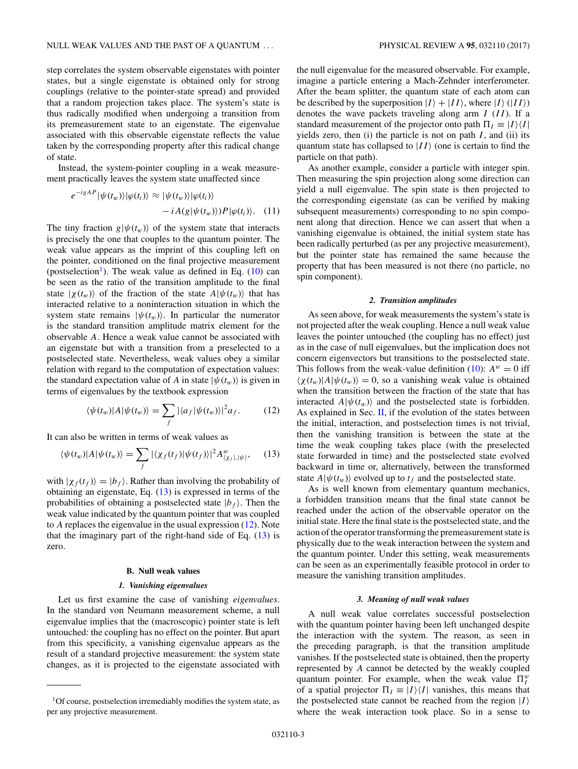<span id="page-2-0"></span>step correlates the system observable eigenstates with pointer states, but a single eigenstate is obtained only for strong couplings (relative to the pointer-state spread) and provided that a random projection takes place. The system's state is

thus radically modified when undergoing a transition from its premeasurement state to an eigenstate. The eigenvalue associated with this observable eigenstate reflects the value taken by the corresponding property after this radical change of state.

Instead, the system-pointer coupling in a weak measurement practically leaves the system state unaffected since

$$
e^{-igAP} |\psi(t_w)\rangle |\varphi(t_i)\rangle \approx |\psi(t_w)\rangle |\varphi(t_i)\rangle
$$
  
-  $i A(g|\psi(t_w)\rangle) P |\varphi(t_i)\rangle.$  (11)

The tiny fraction  $g|\psi(t_w)\rangle$  of the system state that interacts is precisely the one that couples to the quantum pointer. The weak value appears as the imprint of this coupling left on the pointer, conditioned on the final projective measurement (postselection<sup>1</sup>). The weak value as defined in Eq.  $(10)$  can be seen as the ratio of the transition amplitude to the final state  $|\chi(t_w)\rangle$  of the fraction of the state  $A|\psi(t_w)\rangle$  that has interacted relative to a noninteraction situation in which the system state remains  $|\psi(t_w)\rangle$ . In particular the numerator is the standard transition amplitude matrix element for the observable *A.* Hence a weak value cannot be associated with an eigenstate but with a transition from a preselected to a postselected state. Nevertheless, weak values obey a similar relation with regard to the computation of expectation values: the standard expectation value of *A* in state  $|\psi(t_w)\rangle$  is given in terms of eigenvalues by the textbook expression

$$
\langle \psi(t_w)|A|\psi(t_w)\rangle = \sum_f |\langle a_f|\psi(t_w)\rangle|^2 a_f. \tag{12}
$$

It can also be written in terms of weak values as

$$
\langle \psi(t_w)|A|\psi(t_w)\rangle = \sum_f |\langle \chi_f(t_f)|\psi(t_f)\rangle|^2 A_{\langle \chi_f|, |\psi\rangle}^w,\tag{13}
$$

with  $|\chi_f(t_f)\rangle = |b_f\rangle$ . Rather than involving the probability of obtaining an eigenstate, Eq. (13) is expressed in terms of the probabilities of obtaining a postselected state  $|b_f\rangle$ . Then the weak value indicated by the quantum pointer that was coupled to *A* replaces the eigenvalue in the usual expression (12). Note that the imaginary part of the right-hand side of Eq.  $(13)$  is zero.

### **B. Null weak values**

### *1. Vanishing eigenvalues*

Let us first examine the case of vanishing *eigenvalues*. In the standard von Neumann measurement scheme, a null eigenvalue implies that the (macroscopic) pointer state is left untouched: the coupling has no effect on the pointer. But apart from this specificity, a vanishing eigenvalue appears as the result of a standard projective measurement: the system state changes, as it is projected to the eigenstate associated with

the null eigenvalue for the measured observable. For example, imagine a particle entering a Mach-Zehnder interferometer. After the beam splitter, the quantum state of each atom can be described by the superposition  $|I\rangle + |II\rangle$ , where  $|I\rangle (|II\rangle)$ denotes the wave packets traveling along arm *I* (*II*). If a standard measurement of the projector onto path  $\Pi_I \equiv |I\rangle\langle I|$ yields zero, then  $(i)$  the particle is not on path  $I$ , and  $(ii)$  its quantum state has collapsed to  $|II\rangle$  (one is certain to find the particle on that path).

As another example, consider a particle with integer spin. Then measuring the spin projection along some direction can yield a null eigenvalue. The spin state is then projected to the corresponding eigenstate (as can be verified by making subsequent measurements) corresponding to no spin component along that direction. Hence we can assert that when a vanishing eigenvalue is obtained, the initial system state has been radically perturbed (as per any projective measurement), but the pointer state has remained the same because the property that has been measured is not there (no particle, no spin component).

### *2. Transition amplitudes*

As seen above, for weak measurements the system's state is not projected after the weak coupling. Hence a null weak value leaves the pointer untouched (the coupling has no effect) just as in the case of null eigenvalues, but the implication does not concern eigenvectors but transitions to the postselected state. This follows from the weak-value definition [\(10\)](#page-1-0):  $A^w = 0$  iff  $\langle \chi(t_w)|A|\psi(t_w)\rangle = 0$ , so a vanishing weak value is obtained when the transition between the fraction of the state that has interacted  $A|\psi(t_w)\rangle$  and the postselected state is forbidden. As explained in Sec.  $II$ , if the evolution of the states between the initial, interaction, and postselection times is not trivial, then the vanishing transition is between the state at the time the weak coupling takes place (with the preselected state forwarded in time) and the postselected state evolved backward in time or, alternatively, between the transformed state  $A|\psi(t_w)\rangle$  evolved up to  $t_f$  and the postselected state.

As is well known from elementary quantum mechanics, a forbidden transition means that the final state cannot be reached under the action of the observable operator on the initial state. Here the final state is the postselected state, and the action of the operator transforming the premeasurement state is physically due to the weak interaction between the system and the quantum pointer. Under this setting, weak measurements can be seen as an experimentally feasible protocol in order to measure the vanishing transition amplitudes.

### *3. Meaning of null weak values*

A null weak value correlates successful postselection with the quantum pointer having been left unchanged despite the interaction with the system. The reason, as seen in the preceding paragraph, is that the transition amplitude vanishes. If the postselected state is obtained, then the property represented by *A* cannot be detected by the weakly coupled quantum pointer. For example, when the weak value  $\Pi_I^u$ of a spatial projector  $\Pi_I \equiv |I\rangle\langle I|$  vanishes, this means that the postselected state cannot be reached from the region  $|I\rangle$ where the weak interaction took place. So in a sense to

<sup>1</sup>Of course, postselection irremediably modifies the system state, as per any projective measurement.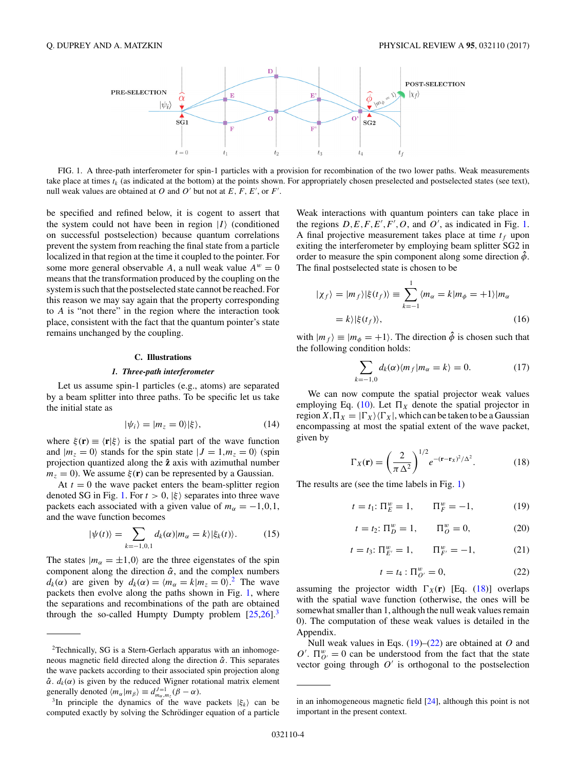<span id="page-3-0"></span>

FIG. 1. A three-path interferometer for spin-1 particles with a provision for recombination of the two lower paths. Weak measurements take place at times  $t_k$  (as indicated at the bottom) at the points shown. For appropriately chosen preselected and postselected states (see text), null weak values are obtained at  $O$  and  $O'$  but not at  $E, F, E',$  or  $F'.$ 

be specified and refined below, it is cogent to assert that the system could not have been in region  $|I\rangle$  (conditioned on successful postselection) because quantum correlations prevent the system from reaching the final state from a particle localized in that region at the time it coupled to the pointer. For some more general observable *A*, a null weak value  $A^w = 0$ means that the transformation produced by the coupling on the system is such that the postselected state cannot be reached. For this reason we may say again that the property corresponding to *A* is "not there" in the region where the interaction took place, consistent with the fact that the quantum pointer's state remains unchanged by the coupling.

### **C. Illustrations**

### *1. Three-path interferometer*

Let us assume spin-1 particles (e.g., atoms) are separated by a beam splitter into three paths. To be specific let us take the initial state as

$$
|\psi_i\rangle = |m_z = 0\rangle |\xi\rangle, \tag{14}
$$

where  $\xi(\mathbf{r}) \equiv \langle \mathbf{r} | \xi \rangle$  is the spatial part of the wave function and  $|m_z = 0\rangle$  stands for the spin state  $|J = 1, m_z = 0\rangle$  (spin projection quantized along the **zˆ** axis with azimuthal number  $m<sub>z</sub> = 0$ ). We assume  $\xi(\mathbf{r})$  can be represented by a Gaussian.

At  $t = 0$  the wave packet enters the beam-splitter region denoted SG in Fig. 1. For  $t > 0$ ,  $|\xi\rangle$  separates into three wave packets each associated with a given value of  $m_\alpha = -1, 0, 1$ , and the wave function becomes

$$
|\psi(t)\rangle = \sum_{k=-1,0,1} d_k(\alpha)|m_\alpha = k\rangle |\xi_k(t)\rangle.
$$
 (15)

The states  $|m_{\alpha} = \pm 1, 0\rangle$  are the three eigenstates of the spin component along the direction *α***ˆ**, and the complex numbers *d<sub>k</sub>*( $\alpha$ ) are given by  $d_k(\alpha) = \langle m_\alpha = k | m_z = 0 \rangle^2$ . The wave packets then evolve along the paths shown in Fig. 1, where the separations and recombinations of the path are obtained through the so-called Humpty Dumpty problem  $[25,26]$ .<sup>3</sup>

Weak interactions with quantum pointers can take place in the regions  $D, E, F, E', F', O$ , and  $O'$ , as indicated in Fig. 1. A final projective measurement takes place at time  $t_f$  upon exiting the interferometer by employing beam splitter SG2 in order to measure the spin component along some direction  $\hat{\phi}$ . The final postselected state is chosen to be

$$
|\chi_f\rangle = |m_f\rangle|\xi(t_f)\rangle \equiv \sum_{k=-1}^{1} \langle m_\alpha = k | m_\phi = +1 \rangle |m_\alpha \rangle
$$
  
=  $k \rangle |\xi(t_f)\rangle,$  (16)

with  $|m_f\rangle \equiv |m_{\phi} = +1\rangle$ . The direction  $\hat{\phi}$  is chosen such that the following condition holds:

$$
\sum_{k=-1,0} d_k(\alpha) \langle m_f | m_\alpha = k \rangle = 0. \tag{17}
$$

We can now compute the spatial projector weak values employing Eq. [\(10\)](#page-1-0). Let  $\Pi_X$  denote the spatial projector in region  $X, \Pi_X = |\Gamma_X\rangle \langle \Gamma_X|$ , which can be taken to be a Gaussian encompassing at most the spatial extent of the wave packet, given by

$$
\Gamma_X(\mathbf{r}) = \left(\frac{2}{\pi \Delta^2}\right)^{1/2} e^{-(\mathbf{r} - \mathbf{r}_X)^2/\Delta^2}.
$$
 (18)

The results are (see the time labels in Fig. 1)

$$
t = t_1: \Pi_E^w = 1, \qquad \Pi_F^w = -1,
$$
 (19)

$$
t = t_2: \Pi_D^w = 1, \qquad \Pi_O^w = 0,
$$
 (20)

$$
t = t_3: \Pi_{E'}^w = 1, \qquad \Pi_{F'}^w = -1, \tag{21}
$$

$$
t = t_4 : \Pi^w_{O'} = 0,
$$
 (22)

assuming the projector width  $\Gamma_X(\mathbf{r})$  [Eq. (18)] overlaps with the spatial wave function (otherwise, the ones will be somewhat smaller than 1, although the null weak values remain 0). The computation of these weak values is detailed in the Appendix.

Null weak values in Eqs. (19)–(22) are obtained at *O* and  $O'$ .  $\Pi_{O'}^w = 0$  can be understood from the fact that the state vector going through  $O'$  is orthogonal to the postselection

<sup>&</sup>lt;sup>2</sup>Technically, SG is a Stern-Gerlach apparatus with an inhomogeneous magnetic field directed along the direction *α***ˆ**. This separates the wave packets according to their associated spin projection along  $\hat{\alpha}$ .  $d_k(\alpha)$  is given by the reduced Wigner rotational matrix element generally denoted  $\langle m_{\alpha} | m_{\beta} \rangle \equiv d_{m_{\alpha},m_{z}}^{J=1}(\beta - \alpha)$ .

<sup>&</sup>lt;sup>3</sup>In principle the dynamics of the wave packets  $|\xi_k\rangle$  can be computed exactly by solving the Schrödinger equation of a particle

in an inhomogeneous magnetic field [\[24\]](#page-8-0), although this point is not important in the present context.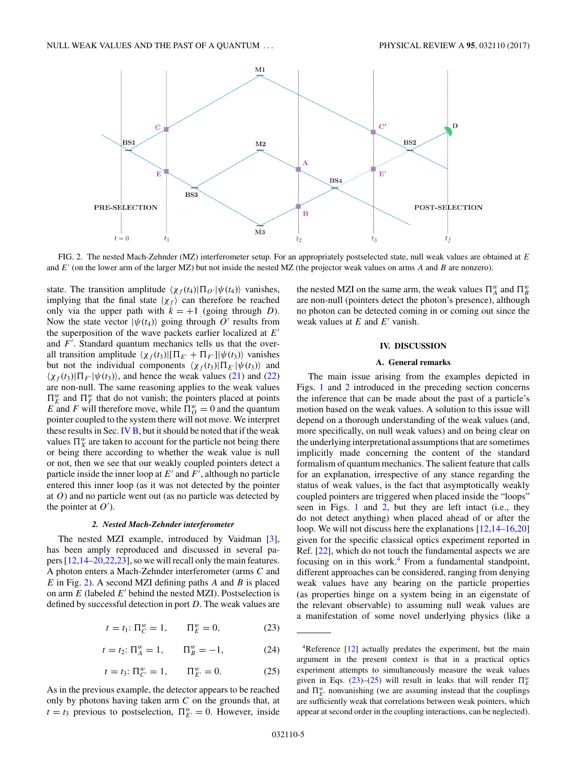<span id="page-4-0"></span>

FIG. 2. The nested Mach-Zehnder (MZ) interferometer setup. For an appropriately postselected state, null weak values are obtained at *E* and *E* (on the lower arm of the larger MZ) but not inside the nested MZ (the projector weak values on arms *A* and *B* are nonzero).

state. The transition amplitude  $\langle \chi_f(t_4) | \Pi_{Q'} | \psi(t_4) \rangle$  vanishes, implying that the final state  $|\chi_f\rangle$  can therefore be reached only via the upper path with  $k = +1$  (going through *D*). Now the state vector  $|\psi(t_4)\rangle$  going through  $O'$  results from the superposition of the wave packets earlier localized at *E* and *F* . Standard quantum mechanics tells us that the overall transition amplitude  $\langle \chi_f(t_3)|[\Pi_{E'} + \Pi_{F'}] |\psi(t_3) \rangle$  vanishes but not the individual components  $\langle \chi_f(t_3) | \Pi_{E'} | \psi(t_3) \rangle$  and  $\langle \chi_f(t_3)|\Pi_{F'}|\psi(t_3)\rangle$ , and hence the weak values [\(21\)](#page-3-0) and [\(22\)](#page-3-0) are non-null. The same reasoning applies to the weak values  $\Pi_E^w$  and  $\Pi_F^w$  that do not vanish; the pointers placed at points *E* and *F* will therefore move, while  $\Pi_{O}^{w} = 0$  and the quantum pointer coupled to the system there will not move. We interpret these results in Sec. IV  $\overline{B}$ , but it should be noted that if the weak values  $\Pi_X^w$  are taken to account for the particle not being there or being there according to whether the weak value is null or not, then we see that our weakly coupled pointers detect a particle inside the inner loop at  $E'$  and  $F'$ , although no particle entered this inner loop (as it was not detected by the pointer at *O*) and no particle went out (as no particle was detected by the pointer at  $O'$ ).

### *2. Nested Mach-Zehnder interferometer*

The nested MZI example, introduced by Vaidman [\[3\]](#page-7-0), has been amply reproduced and discussed in several papers [\[12,14–20,22,23\]](#page-8-0), so we will recall only the main features. A photon enters a Mach-Zehnder interferometer (arms *C* and *E* in Fig. 2). A second MZI defining paths *A* and *B* is placed on arm  $E$  (labeled  $E'$  behind the nested MZI). Postselection is defined by successful detection in port *D*. The weak values are

$$
t = t_1: \Pi_C^w = 1, \qquad \Pi_E^w = 0,
$$
 (23)

$$
t = t_2: \Pi_A^w = 1, \qquad \Pi_B^w = -1,
$$
 (24)

$$
t = t_3: \Pi_{C'}^{w} = 1, \qquad \Pi_{E'}^{w} = 0.
$$
 (25)

As in the previous example, the detector appears to be reached only by photons having taken arm *C* on the grounds that, at  $t = t_3$  previous to postselection,  $\prod_{E'}^w = 0$ . However, inside

the nested MZI on the same arm, the weak values  $\Pi_A^w$  and  $\Pi_B^w$ are non-null (pointers detect the photon's presence), although no photon can be detected coming in or coming out since the weak values at  $E$  and  $E'$  vanish.

### **IV. DISCUSSION**

### **A. General remarks**

The main issue arising from the examples depicted in Figs. [1](#page-3-0) and 2 introduced in the preceding section concerns the inference that can be made about the past of a particle's motion based on the weak values. A solution to this issue will depend on a thorough understanding of the weak values (and, more specifically, on null weak values) and on being clear on the underlying interpretational assumptions that are sometimes implicitly made concerning the content of the standard formalism of quantum mechanics. The salient feature that calls for an explanation, irrespective of any stance regarding the status of weak values, is the fact that asymptotically weakly coupled pointers are triggered when placed inside the "loops" seen in Figs. [1](#page-3-0) and 2, but they are left intact (i.e., they do not detect anything) when placed ahead of or after the loop. We will not discuss here the explanations [\[12,14–16,20\]](#page-8-0) given for the specific classical optics experiment reported in Ref. [\[22\]](#page-8-0), which do not touch the fundamental aspects we are focusing on in this work.<sup>4</sup> From a fundamental standpoint, different approaches can be considered, ranging from denying weak values have any bearing on the particle properties (as properties hinge on a system being in an eigenstate of the relevant observable) to assuming null weak values are a manifestation of some novel underlying physics (like a

<sup>&</sup>lt;sup>4</sup>Reference [\[12\]](#page-8-0) actually predates the experiment, but the main argument in the present context is that in a practical optics experiment attempts to simultaneously measure the weak values given in Eqs. (23)–(25) will result in leaks that will render  $\Pi_E^u$ and  $\Pi_{E'}^w$  nonvanishing (we are assuming instead that the couplings are sufficiently weak that correlations between weak pointers, which appear at second order in the coupling interactions, can be neglected).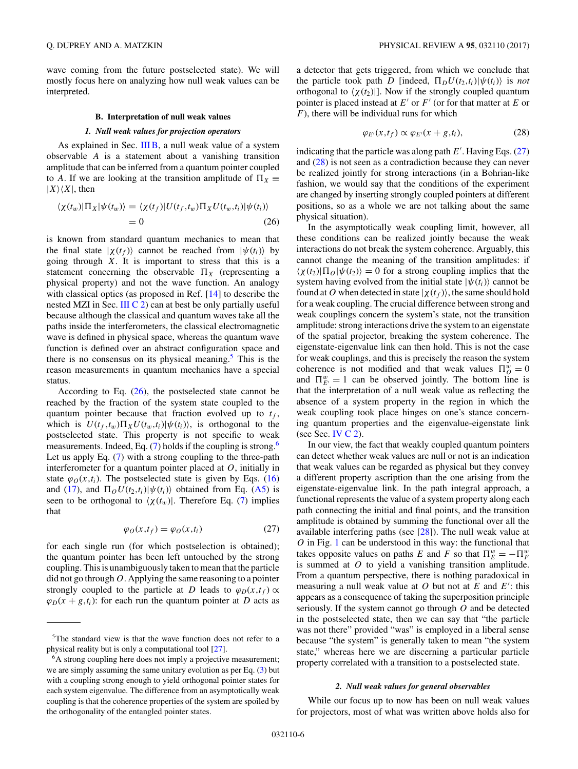<span id="page-5-0"></span>wave coming from the future postselected state). We will mostly focus here on analyzing how null weak values can be interpreted.

#### **B. Interpretation of null weak values**

### *1. Null weak values for projection operators*

As explained in Sec. [III B,](#page-2-0) a null weak value of a system observable *A* is a statement about a vanishing transition amplitude that can be inferred from a quantum pointer coupled to *A*. If we are looking at the transition amplitude of  $\Pi_X \equiv$  $|X\rangle\langle X|$ , then

$$
\langle \chi(t_w)|\Pi_X|\psi(t_w)\rangle = \langle \chi(t_f)|U(t_f,t_w)\Pi_X U(t_w,t_i)|\psi(t_i)\rangle
$$
  
= 0 (26)

is known from standard quantum mechanics to mean that the final state  $|\chi(t_f)\rangle$  cannot be reached from  $|\psi(t_i)\rangle$  by going through *X*. It is important to stress that this is a statement concerning the observable  $\Pi_X$  (representing a physical property) and not the wave function. An analogy with classical optics (as proposed in Ref. [\[14\]](#page-8-0) to describe the nested MZI in Sec. III  $\mathbb{C}$  2) can at best be only partially useful because although the classical and quantum waves take all the paths inside the interferometers, the classical electromagnetic wave is defined in physical space, whereas the quantum wave function is defined over an abstract configuration space and there is no consensus on its physical meaning. $5$  This is the reason measurements in quantum mechanics have a special status.

According to Eq.  $(26)$ , the postselected state cannot be reached by the fraction of the system state coupled to the quantum pointer because that fraction evolved up to  $t_f$ , which is  $U(t_f, t_w) \prod_X U(t_w, t_i) | \psi(t_i) \rangle$ , is orthogonal to the postselected state. This property is not specific to weak measurements. Indeed, Eq.  $(7)$  holds if the coupling is strong.<sup>6</sup> Let us apply Eq. [\(7\)](#page-1-0) with a strong coupling to the three-path interferometer for a quantum pointer placed at *O*, initially in state  $\varphi_O(x,t_i)$ . The postselected state is given by Eqs. [\(16\)](#page-3-0) and [\(17\)](#page-3-0), and  $\Pi_O U(t_2,t_i) | \psi(t_i) \rangle$  obtained from Eq. [\(A5\)](#page-7-0) is seen to be orthogonal to  $\chi(t_w)$ . Therefore Eq. [\(7\)](#page-1-0) implies that

$$
\varphi_O(x, t_f) = \varphi_O(x, t_i) \tag{27}
$$

for each single run (for which postselection is obtained); the quantum pointer has been left untouched by the strong coupling. This is unambiguously taken to mean that the particle did not go through *O*. Applying the same reasoning to a pointer strongly coupled to the particle at *D* leads to  $\varphi_D(x,t_f) \propto$  $\varphi_D(x + g, t_i)$ : for each run the quantum pointer at *D* acts as

a detector that gets triggered, from which we conclude that the particle took path *D* [indeed,  $\Pi_D U(t_2,t_i) | \psi(t_i) \rangle$  is *not* orthogonal to  $\langle \chi(t_2) |$ . Now if the strongly coupled quantum pointer is placed instead at  $E'$  or  $F'$  (or for that matter at  $E$  or *F*), there will be individual runs for which

$$
\varphi_{E'}(x,t_f) \propto \varphi_{E'}(x+g,t_i),\tag{28}
$$

indicating that the particle was along path *E* . Having Eqs. (27) and (28) is not seen as a contradiction because they can never be realized jointly for strong interactions (in a Bohrian-like fashion, we would say that the conditions of the experiment are changed by inserting strongly coupled pointers at different positions, so as a whole we are not talking about the same physical situation).

In the asymptotically weak coupling limit, however, all these conditions can be realized jointly because the weak interactions do not break the system coherence. Arguably, this cannot change the meaning of the transition amplitudes: if  $\langle \chi(t_2)|\Pi_O|\psi(t_2)\rangle = 0$  for a strong coupling implies that the system having evolved from the initial state  $|\psi(t_i)\rangle$  cannot be found at O when detected in state  $|\chi(t_f)\rangle$ , the same should hold for a weak coupling. The crucial difference between strong and weak couplings concern the system's state, not the transition amplitude: strong interactions drive the system to an eigenstate of the spatial projector, breaking the system coherence. The eigenstate-eigenvalue link can then hold. This is not the case for weak couplings, and this is precisely the reason the system coherence is not modified and that weak values  $\Pi_{\theta}^{w} = 0$ and  $\Pi_{E'}^w = 1$  can be observed jointly. The bottom line is that the interpretation of a null weak value as reflecting the absence of a system property in the region in which the weak coupling took place hinges on one's stance concerning quantum properties and the eigenvalue-eigenstate link (see Sec. IV  $C$  2).

In our view, the fact that weakly coupled quantum pointers can detect whether weak values are null or not is an indication that weak values can be regarded as physical but they convey a different property ascription than the one arising from the eigenstate-eigenvalue link. In the path integral approach, a functional represents the value of a system property along each path connecting the initial and final points, and the transition amplitude is obtained by summing the functional over all the available interfering paths (see [\[28\]](#page-8-0)). The null weak value at *O* in Fig. [1](#page-3-0) can be understood in this way: the functional that takes opposite values on paths *E* and *F* so that  $\Pi_E^w = -\Pi_F^w$ is summed at *O* to yield a vanishing transition amplitude. From a quantum perspective, there is nothing paradoxical in measuring a null weak value at  $O$  but not at  $E$  and  $E'$ : this appears as a consequence of taking the superposition principle seriously. If the system cannot go through *O* and be detected in the postselected state, then we can say that "the particle was not there" provided "was" is employed in a liberal sense because "the system" is generally taken to mean "the system state," whereas here we are discerning a particular particle property correlated with a transition to a postselected state.

### *2. Null weak values for general observables*

While our focus up to now has been on null weak values for projectors, most of what was written above holds also for

<sup>&</sup>lt;sup>5</sup>The standard view is that the wave function does not refer to a physical reality but is only a computational tool [\[27\]](#page-8-0).

<sup>&</sup>lt;sup>6</sup>A strong coupling here does not imply a projective measurement; we are simply assuming the same unitary evolution as per Eq. [\(3\)](#page-1-0) but with a coupling strong enough to yield orthogonal pointer states for each system eigenvalue. The difference from an asymptotically weak coupling is that the coherence properties of the system are spoiled by the orthogonality of the entangled pointer states.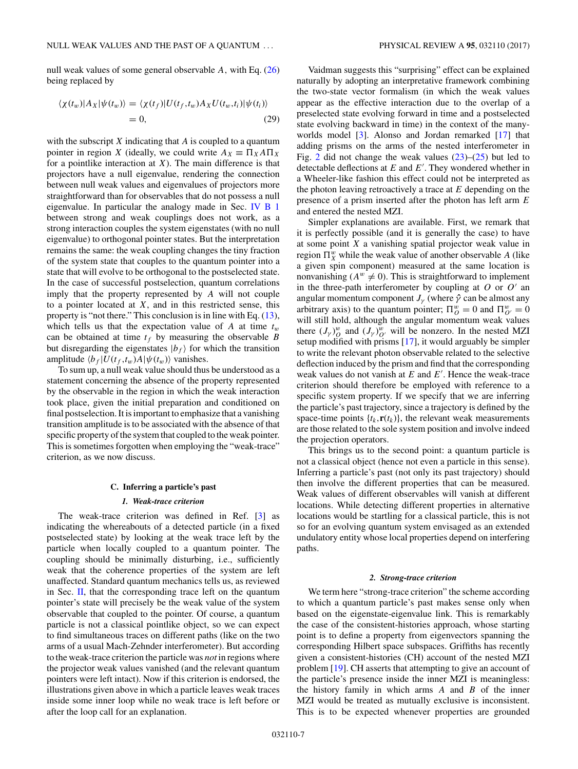<span id="page-6-0"></span>null weak values of some general observable *A,* with Eq. [\(26\)](#page-5-0) being replaced by

$$
\langle \chi(t_w)|A_X|\psi(t_w)\rangle = \langle \chi(t_f)|U(t_f,t_w)A_XU(t_w,t_i)|\psi(t_i)\rangle
$$
  
= 0, (29)

with the subscript *X* indicating that *A* is coupled to a quantum pointer in region *X* (ideally, we could write  $A_X \equiv \Pi_X A \Pi_X$ for a pointlike interaction at *X*). The main difference is that projectors have a null eigenvalue, rendering the connection between null weak values and eigenvalues of projectors more straightforward than for observables that do not possess a null eigenvalue. In particular the analogy made in Sec. [IV B 1](#page-5-0) between strong and weak couplings does not work, as a strong interaction couples the system eigenstates (with no null eigenvalue) to orthogonal pointer states. But the interpretation remains the same: the weak coupling changes the tiny fraction of the system state that couples to the quantum pointer into a state that will evolve to be orthogonal to the postselected state. In the case of successful postselection, quantum correlations imply that the property represented by *A* will not couple to a pointer located at *X*, and in this restricted sense, this property is "not there." This conclusion is in line with Eq. [\(13\)](#page-2-0), which tells us that the expectation value of  $A$  at time  $t_w$ can be obtained at time  $t_f$  by measuring the observable *B* but disregarding the eigenstates  $|b_f\rangle$  for which the transition amplitude  $\langle b_f | U(t_f, t_w) A | \psi(t_w) \rangle$  vanishes.

To sum up, a null weak value should thus be understood as a statement concerning the absence of the property represented by the observable in the region in which the weak interaction took place, given the initial preparation and conditioned on final postselection. It is important to emphasize that a vanishing transition amplitude is to be associated with the absence of that specific property of the system that coupled to the weak pointer. This is sometimes forgotten when employing the "weak-trace" criterion, as we now discuss.

### **C. Inferring a particle's past**

### *1. Weak-trace criterion*

The weak-trace criterion was defined in Ref. [\[3\]](#page-7-0) as indicating the whereabouts of a detected particle (in a fixed postselected state) by looking at the weak trace left by the particle when locally coupled to a quantum pointer. The coupling should be minimally disturbing, i.e., sufficiently weak that the coherence properties of the system are left unaffected. Standard quantum mechanics tells us, as reviewed in Sec. [II,](#page-1-0) that the corresponding trace left on the quantum pointer's state will precisely be the weak value of the system observable that coupled to the pointer. Of course, a quantum particle is not a classical pointlike object, so we can expect to find simultaneous traces on different paths (like on the two arms of a usual Mach-Zehnder interferometer). But according to the weak-trace criterion the particle was *not* in regions where the projector weak values vanished (and the relevant quantum pointers were left intact). Now if this criterion is endorsed, the illustrations given above in which a particle leaves weak traces inside some inner loop while no weak trace is left before or after the loop call for an explanation.

Vaidman suggests this "surprising" effect can be explained naturally by adopting an interpretative framework combining the two-state vector formalism (in which the weak values appear as the effective interaction due to the overlap of a preselected state evolving forward in time and a postselected state evolving backward in time) in the context of the manyworlds model [\[3\]](#page-7-0). Alonso and Jordan remarked [\[17\]](#page-8-0) that adding prisms on the arms of the nested interferometer in Fig. [2](#page-4-0) did not change the weak values  $(23)$ – $(25)$  but led to detectable deflections at *E* and *E* . They wondered whether in a Wheeler-like fashion this effect could not be interpreted as the photon leaving retroactively a trace at *E* depending on the presence of a prism inserted after the photon has left arm *E* and entered the nested MZI.

Simpler explanations are available. First, we remark that it is perfectly possible (and it is generally the case) to have at some point *X* a vanishing spatial projector weak value in region  $\Pi_X^w$  while the weak value of another observable *A* (like a given spin component) measured at the same location is nonvanishing  $(A^w \neq 0)$ . This is straightforward to implement in the three-path interferometer by coupling at  $O$  or  $O'$  an angular momentum component  $J_\gamma$  (where  $\hat{\gamma}$  can be almost any arbitrary axis) to the quantum pointer;  $\Pi_{O}^{w} = 0$  and  $\Pi_{O'}^{w} = 0$ will still hold, although the angular momentum weak values there  $(J_\gamma)_{\mathcal{O}}^w$  and  $(J_\gamma)_{\mathcal{O}}^w$  will be nonzero. In the nested MZI setup modified with prisms [\[17\]](#page-8-0), it would arguably be simpler to write the relevant photon observable related to the selective deflection induced by the prism and find that the corresponding weak values do not vanish at *E* and *E* . Hence the weak-trace criterion should therefore be employed with reference to a specific system property. If we specify that we are inferring the particle's past trajectory, since a trajectory is defined by the space-time points  $\{t_k, \mathbf{r}(t_k)\}$ , the relevant weak measurements are those related to the sole system position and involve indeed the projection operators.

This brings us to the second point: a quantum particle is not a classical object (hence not even a particle in this sense). Inferring a particle's past (not only its past trajectory) should then involve the different properties that can be measured. Weak values of different observables will vanish at different locations. While detecting different properties in alternative locations would be startling for a classical particle, this is not so for an evolving quantum system envisaged as an extended undulatory entity whose local properties depend on interfering paths.

#### *2. Strong-trace criterion*

We term here "strong-trace criterion" the scheme according to which a quantum particle's past makes sense only when based on the eigenstate-eigenvalue link. This is remarkably the case of the consistent-histories approach, whose starting point is to define a property from eigenvectors spanning the corresponding Hilbert space subspaces. Griffiths has recently given a consistent-histories (CH) account of the nested MZI problem [\[19\]](#page-8-0). CH asserts that attempting to give an account of the particle's presence inside the inner MZI is meaningless: the history family in which arms *A* and *B* of the inner MZI would be treated as mutually exclusive is inconsistent. This is to be expected whenever properties are grounded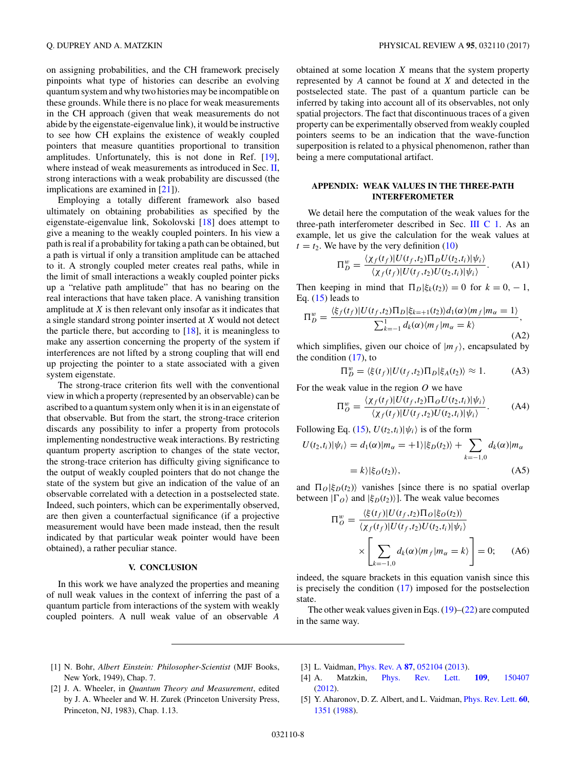<span id="page-7-0"></span>on assigning probabilities, and the CH framework precisely pinpoints what type of histories can describe an evolving quantum system and why two histories may be incompatible on these grounds. While there is no place for weak measurements in the CH approach (given that weak measurements do not abide by the eigenstate-eigenvalue link), it would be instructive to see how CH explains the existence of weakly coupled pointers that measure quantities proportional to transition amplitudes. Unfortunately, this is not done in Ref. [\[19\]](#page-8-0), where instead of weak measurements as introduced in Sec. [II,](#page-1-0) strong interactions with a weak probability are discussed (the implications are examined in [\[21\]](#page-8-0)).

Employing a totally different framework also based ultimately on obtaining probabilities as specified by the eigenstate-eigenvalue link, Sokolovski [\[18\]](#page-8-0) does attempt to give a meaning to the weakly coupled pointers. In his view a path is real if a probability for taking a path can be obtained, but a path is virtual if only a transition amplitude can be attached to it. A strongly coupled meter creates real paths, while in the limit of small interactions a weakly coupled pointer picks up a "relative path amplitude" that has no bearing on the real interactions that have taken place. A vanishing transition amplitude at *X* is then relevant only insofar as it indicates that a single standard strong pointer inserted at *X* would not detect the particle there, but according to  $[18]$ , it is meaningless to make any assertion concerning the property of the system if interferences are not lifted by a strong coupling that will end up projecting the pointer to a state associated with a given system eigenstate.

The strong-trace criterion fits well with the conventional view in which a property (represented by an observable) can be ascribed to a quantum system only when it is in an eigenstate of that observable. But from the start, the strong-trace criterion discards any possibility to infer a property from protocols implementing nondestructive weak interactions. By restricting quantum property ascription to changes of the state vector, the strong-trace criterion has difficulty giving significance to the output of weakly coupled pointers that do not change the state of the system but give an indication of the value of an observable correlated with a detection in a postselected state. Indeed, such pointers, which can be experimentally observed, are then given a counterfactual significance (if a projective measurement would have been made instead, then the result indicated by that particular weak pointer would have been obtained), a rather peculiar stance.

### **V. CONCLUSION**

In this work we have analyzed the properties and meaning of null weak values in the context of inferring the past of a quantum particle from interactions of the system with weakly coupled pointers. A null weak value of an observable *A*

obtained at some location *X* means that the system property represented by *A* cannot be found at *X* and detected in the postselected state. The past of a quantum particle can be inferred by taking into account all of its observables, not only spatial projectors. The fact that discontinuous traces of a given property can be experimentally observed from weakly coupled pointers seems to be an indication that the wave-function superposition is related to a physical phenomenon, rather than being a mere computational artifact.

## **APPENDIX: WEAK VALUES IN THE THREE-PATH INTERFEROMETER**

We detail here the computation of the weak values for the three-path interferometer described in Sec. [III C 1.](#page-3-0) As an example, let us give the calculation for the weak values at  $t = t_2$ . We have by the very definition [\(10\)](#page-1-0)

$$
\Pi_D^w = \frac{\langle \chi_f(t_f) | U(t_f, t_2) \Pi_D U(t_2, t_i) | \psi_i \rangle}{\langle \chi_f(t_f) | U(t_f, t_2) U(t_2, t_i) | \psi_i \rangle}.
$$
 (A1)

Then keeping in mind that  $\Pi_D|\xi_k(t_2)\rangle = 0$  for  $k = 0, -1,$ Eq.  $(15)$  leads to

$$
\Pi_D^w = \frac{\langle \xi_f(t_f) | U(t_f, t_2) \Pi_D | \xi_{k=+1}(t_2) \rangle d_1(\alpha) \langle m_f | m_\alpha = 1 \rangle}{\sum_{k=-1}^1 d_k(\alpha) \langle m_f | m_\alpha = k \rangle},\tag{A2}
$$

which simplifies, given our choice of  $|m_f\rangle$ , encapsulated by the condition  $(17)$ , to

$$
\Pi_D^w = \langle \xi(t_f) | U(t_f, t_2) \Pi_D | \xi_A(t_2) \rangle \approx 1. \tag{A3}
$$

For the weak value in the region *O* we have

$$
\Pi_{O}^{w} = \frac{\langle \chi_{f}(t_{f}) | U(t_{f}, t_{2}) \Pi_{O} U(t_{2}, t_{i}) | \psi_{i} \rangle}{\langle \chi_{f}(t_{f}) | U(t_{f}, t_{2}) U(t_{2}, t_{i}) | \psi_{i} \rangle}.
$$
 (A4)

Following Eq. [\(15\)](#page-3-0),  $U(t_2,t_i)|\psi_i\rangle$  is of the form

$$
U(t_2, t_i)|\psi_i\rangle = d_1(\alpha)|m_\alpha = +1\rangle|\xi_D(t_2)\rangle + \sum_{k=-1,0} d_k(\alpha)|m_\alpha
$$
  
=  $k\rangle|\xi_D(t_2)\rangle,$  (A5)

and  $\Pi_O|\xi_D(t_2)\rangle$  vanishes [since there is no spatial overlap between  $|\Gamma_{O}\rangle$  and  $|\xi_{D}(t_2)\rangle$ ]. The weak value becomes

$$
\Pi_{O}^{w} = \frac{\langle \xi(t_f)|U(t_f, t_2)\Pi_{O}|\xi_{O}(t_2)\rangle}{\langle \chi_f(t_f)|U(t_f, t_2)U(t_2, t_i)|\psi_i\rangle} \times \left[\sum_{k=-1,0} d_k(\alpha)\langle m_f|m_{\alpha} = k\rangle\right] = 0; \quad (A6)
$$

indeed, the square brackets in this equation vanish since this is precisely the condition [\(17\)](#page-3-0) imposed for the postselection state.

The other weak values given in Eqs.  $(19)$ – $(22)$  are computed in the same way.

- [1] N. Bohr, *Albert Einstein: Philosopher-Scientist* (MJF Books, New York, 1949), Chap. 7.
- [3] L. Vaidman, [Phys. Rev. A](https://doi.org/10.1103/PhysRevA.87.052104) **[87](https://doi.org/10.1103/PhysRevA.87.052104)**, [052104](https://doi.org/10.1103/PhysRevA.87.052104) [\(2013\)](https://doi.org/10.1103/PhysRevA.87.052104).
- [4] A. Matzkin, [Phys. Rev. Lett.](https://doi.org/10.1103/PhysRevLett.109.150407) **[109](https://doi.org/10.1103/PhysRevLett.109.150407)**, [150407](https://doi.org/10.1103/PhysRevLett.109.150407) [\(2012\)](https://doi.org/10.1103/PhysRevLett.109.150407).
- [2] J. A. Wheeler, in *Quantum Theory and Measurement*, edited by J. A. Wheeler and W. H. Zurek (Princeton University Press, Princeton, NJ, 1983), Chap. 1.13.
- [5] Y. Aharonov, D. Z. Albert, and L. Vaidman, [Phys. Rev. Lett.](https://doi.org/10.1103/PhysRevLett.60.1351) **[60](https://doi.org/10.1103/PhysRevLett.60.1351)**, [1351](https://doi.org/10.1103/PhysRevLett.60.1351) [\(1988\)](https://doi.org/10.1103/PhysRevLett.60.1351).